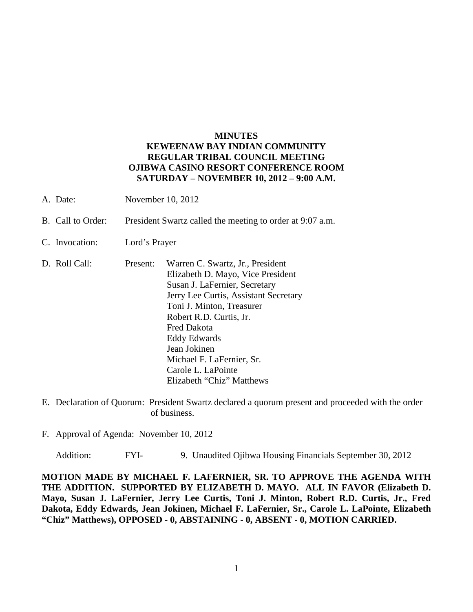## **MINUTES KEWEENAW BAY INDIAN COMMUNITY REGULAR TRIBAL COUNCIL MEETING OJIBWA CASINO RESORT CONFERENCE ROOM SATURDAY – NOVEMBER 10, 2012 – 9:00 A.M.**

- A. Date: November 10, 2012
- B. Call to Order: President Swartz called the meeting to order at 9:07 a.m.
- C. Invocation: Lord's Prayer
- D. Roll Call: Present: Warren C. Swartz, Jr., President Elizabeth D. Mayo, Vice President Susan J. LaFernier, Secretary Jerry Lee Curtis, Assistant Secretary Toni J. Minton, Treasurer Robert R.D. Curtis, Jr. Fred Dakota Eddy Edwards Jean Jokinen Michael F. LaFernier, Sr. Carole L. LaPointe Elizabeth "Chiz" Matthews
- E. Declaration of Quorum: President Swartz declared a quorum present and proceeded with the order of business.
- F. Approval of Agenda: November 10, 2012

Addition: FYI- 9. Unaudited Ojibwa Housing Financials September 30, 2012

**MOTION MADE BY MICHAEL F. LAFERNIER, SR. TO APPROVE THE AGENDA WITH THE ADDITION. SUPPORTED BY ELIZABETH D. MAYO. ALL IN FAVOR (Elizabeth D. Mayo, Susan J. LaFernier, Jerry Lee Curtis, Toni J. Minton, Robert R.D. Curtis, Jr., Fred Dakota, Eddy Edwards, Jean Jokinen, Michael F. LaFernier, Sr., Carole L. LaPointe, Elizabeth "Chiz" Matthews), OPPOSED - 0, ABSTAINING - 0, ABSENT - 0, MOTION CARRIED.**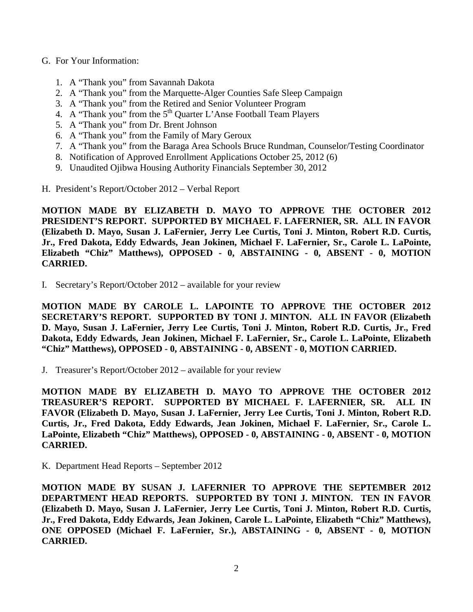- G. For Your Information:
	- 1. A "Thank you" from Savannah Dakota
	- 2. A "Thank you" from the Marquette-Alger Counties Safe Sleep Campaign
	- 3. A "Thank you" from the Retired and Senior Volunteer Program
	- 4. A "Thank you" from the 5<sup>th</sup> Quarter L'Anse Football Team Players
	- 5. A "Thank you" from Dr. Brent Johnson
	- 6. A "Thank you" from the Family of Mary Geroux
	- 7. A "Thank you" from the Baraga Area Schools Bruce Rundman, Counselor/Testing Coordinator
	- 8. Notification of Approved Enrollment Applications October 25, 2012 (6)
	- 9. Unaudited Ojibwa Housing Authority Financials September 30, 2012
- H. President's Report/October 2012 Verbal Report

**MOTION MADE BY ELIZABETH D. MAYO TO APPROVE THE OCTOBER 2012 PRESIDENT'S REPORT. SUPPORTED BY MICHAEL F. LAFERNIER, SR. ALL IN FAVOR (Elizabeth D. Mayo, Susan J. LaFernier, Jerry Lee Curtis, Toni J. Minton, Robert R.D. Curtis, Jr., Fred Dakota, Eddy Edwards, Jean Jokinen, Michael F. LaFernier, Sr., Carole L. LaPointe, Elizabeth "Chiz" Matthews), OPPOSED - 0, ABSTAINING - 0, ABSENT - 0, MOTION CARRIED.**

I. Secretary's Report/October 2012 – available for your review

**MOTION MADE BY CAROLE L. LAPOINTE TO APPROVE THE OCTOBER 2012 SECRETARY'S REPORT. SUPPORTED BY TONI J. MINTON. ALL IN FAVOR (Elizabeth D. Mayo, Susan J. LaFernier, Jerry Lee Curtis, Toni J. Minton, Robert R.D. Curtis, Jr., Fred Dakota, Eddy Edwards, Jean Jokinen, Michael F. LaFernier, Sr., Carole L. LaPointe, Elizabeth "Chiz" Matthews), OPPOSED - 0, ABSTAINING - 0, ABSENT - 0, MOTION CARRIED.**

J. Treasurer's Report/October 2012 – available for your review

**MOTION MADE BY ELIZABETH D. MAYO TO APPROVE THE OCTOBER 2012 TREASURER'S REPORT. SUPPORTED BY MICHAEL F. LAFERNIER, SR. ALL IN FAVOR (Elizabeth D. Mayo, Susan J. LaFernier, Jerry Lee Curtis, Toni J. Minton, Robert R.D. Curtis, Jr., Fred Dakota, Eddy Edwards, Jean Jokinen, Michael F. LaFernier, Sr., Carole L. LaPointe, Elizabeth "Chiz" Matthews), OPPOSED - 0, ABSTAINING - 0, ABSENT - 0, MOTION CARRIED.**

K. Department Head Reports – September 2012

**MOTION MADE BY SUSAN J. LAFERNIER TO APPROVE THE SEPTEMBER 2012 DEPARTMENT HEAD REPORTS. SUPPORTED BY TONI J. MINTON. TEN IN FAVOR (Elizabeth D. Mayo, Susan J. LaFernier, Jerry Lee Curtis, Toni J. Minton, Robert R.D. Curtis, Jr., Fred Dakota, Eddy Edwards, Jean Jokinen, Carole L. LaPointe, Elizabeth "Chiz" Matthews), ONE OPPOSED (Michael F. LaFernier, Sr.), ABSTAINING - 0, ABSENT - 0, MOTION CARRIED.**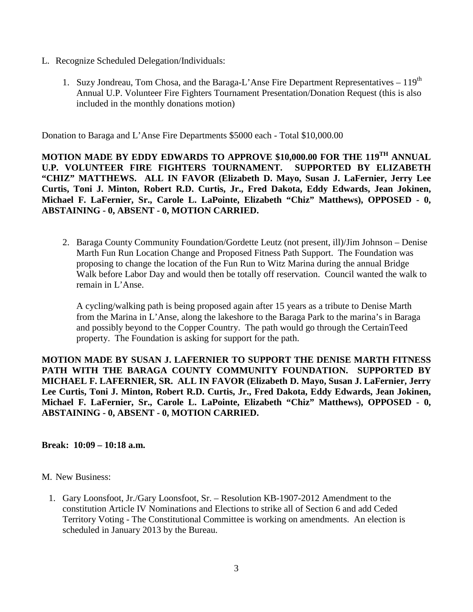- L. Recognize Scheduled Delegation/Individuals:
	- 1. Suzy Jondreau, Tom Chosa, and the Baraga-L'Anse Fire Department Representatives  $-119^{th}$ Annual U.P. Volunteer Fire Fighters Tournament Presentation/Donation Request (this is also included in the monthly donations motion)

Donation to Baraga and L'Anse Fire Departments \$5000 each - Total \$10,000.00

**MOTION MADE BY EDDY EDWARDS TO APPROVE \$10,000.00 FOR THE 119TH ANNUAL U.P. VOLUNTEER FIRE FIGHTERS TOURNAMENT. SUPPORTED BY ELIZABETH "CHIZ" MATTHEWS. ALL IN FAVOR (Elizabeth D. Mayo, Susan J. LaFernier, Jerry Lee Curtis, Toni J. Minton, Robert R.D. Curtis, Jr., Fred Dakota, Eddy Edwards, Jean Jokinen, Michael F. LaFernier, Sr., Carole L. LaPointe, Elizabeth "Chiz" Matthews), OPPOSED - 0, ABSTAINING - 0, ABSENT - 0, MOTION CARRIED.**

2. Baraga County Community Foundation/Gordette Leutz (not present, ill)/Jim Johnson – Denise Marth Fun Run Location Change and Proposed Fitness Path Support. The Foundation was proposing to change the location of the Fun Run to Witz Marina during the annual Bridge Walk before Labor Day and would then be totally off reservation. Council wanted the walk to remain in L'Anse.

A cycling/walking path is being proposed again after 15 years as a tribute to Denise Marth from the Marina in L'Anse, along the lakeshore to the Baraga Park to the marina's in Baraga and possibly beyond to the Copper Country. The path would go through the CertainTeed property. The Foundation is asking for support for the path.

**MOTION MADE BY SUSAN J. LAFERNIER TO SUPPORT THE DENISE MARTH FITNESS PATH WITH THE BARAGA COUNTY COMMUNITY FOUNDATION. SUPPORTED BY MICHAEL F. LAFERNIER, SR. ALL IN FAVOR (Elizabeth D. Mayo, Susan J. LaFernier, Jerry Lee Curtis, Toni J. Minton, Robert R.D. Curtis, Jr., Fred Dakota, Eddy Edwards, Jean Jokinen, Michael F. LaFernier, Sr., Carole L. LaPointe, Elizabeth "Chiz" Matthews), OPPOSED - 0, ABSTAINING - 0, ABSENT - 0, MOTION CARRIED.**

## **Break: 10:09 – 10:18 a.m.**

## M. New Business:

1. Gary Loonsfoot, Jr./Gary Loonsfoot, Sr. – Resolution KB-1907-2012 Amendment to the constitution Article IV Nominations and Elections to strike all of Section 6 and add Ceded Territory Voting - The Constitutional Committee is working on amendments. An election is scheduled in January 2013 by the Bureau.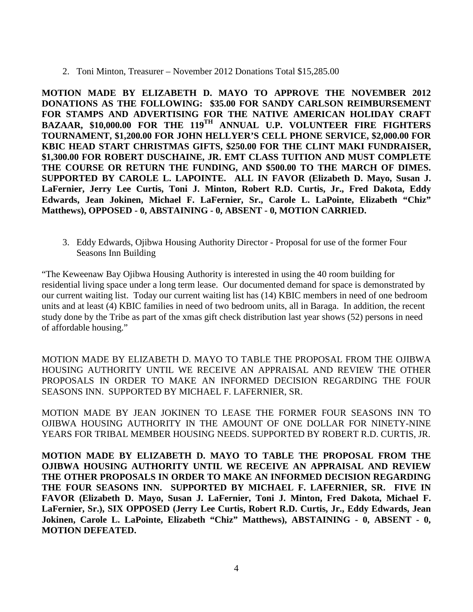2. Toni Minton, Treasurer – November 2012 Donations Total \$15,285.00

**MOTION MADE BY ELIZABETH D. MAYO TO APPROVE THE NOVEMBER 2012 DONATIONS AS THE FOLLOWING: \$35.00 FOR SANDY CARLSON REIMBURSEMENT FOR STAMPS AND ADVERTISING FOR THE NATIVE AMERICAN HOLIDAY CRAFT BAZAAR, \$10,000.00 FOR THE 119TH ANNUAL U.P. VOLUNTEER FIRE FIGHTERS TOURNAMENT, \$1,200.00 FOR JOHN HELLYER'S CELL PHONE SERVICE, \$2,000.00 FOR KBIC HEAD START CHRISTMAS GIFTS, \$250.00 FOR THE CLINT MAKI FUNDRAISER, \$1,300.00 FOR ROBERT DUSCHAINE, JR. EMT CLASS TUITION AND MUST COMPLETE THE COURSE OR RETURN THE FUNDING, AND \$500.00 TO THE MARCH OF DIMES. SUPPORTED BY CAROLE L. LAPOINTE. ALL IN FAVOR (Elizabeth D. Mayo, Susan J. LaFernier, Jerry Lee Curtis, Toni J. Minton, Robert R.D. Curtis, Jr., Fred Dakota, Eddy Edwards, Jean Jokinen, Michael F. LaFernier, Sr., Carole L. LaPointe, Elizabeth "Chiz" Matthews), OPPOSED - 0, ABSTAINING - 0, ABSENT - 0, MOTION CARRIED.**

3. Eddy Edwards, Ojibwa Housing Authority Director - Proposal for use of the former Four Seasons Inn Building

"The Keweenaw Bay Ojibwa Housing Authority is interested in using the 40 room building for residential living space under a long term lease. Our documented demand for space is demonstrated by our current waiting list. Today our current waiting list has (14) KBIC members in need of one bedroom units and at least (4) KBIC families in need of two bedroom units, all in Baraga. In addition, the recent study done by the Tribe as part of the xmas gift check distribution last year shows (52) persons in need of affordable housing."

MOTION MADE BY ELIZABETH D. MAYO TO TABLE THE PROPOSAL FROM THE OJIBWA HOUSING AUTHORITY UNTIL WE RECEIVE AN APPRAISAL AND REVIEW THE OTHER PROPOSALS IN ORDER TO MAKE AN INFORMED DECISION REGARDING THE FOUR SEASONS INN. SUPPORTED BY MICHAEL F. LAFERNIER, SR.

MOTION MADE BY JEAN JOKINEN TO LEASE THE FORMER FOUR SEASONS INN TO OJIBWA HOUSING AUTHORITY IN THE AMOUNT OF ONE DOLLAR FOR NINETY-NINE YEARS FOR TRIBAL MEMBER HOUSING NEEDS. SUPPORTED BY ROBERT R.D. CURTIS, JR.

**MOTION MADE BY ELIZABETH D. MAYO TO TABLE THE PROPOSAL FROM THE OJIBWA HOUSING AUTHORITY UNTIL WE RECEIVE AN APPRAISAL AND REVIEW THE OTHER PROPOSALS IN ORDER TO MAKE AN INFORMED DECISION REGARDING THE FOUR SEASONS INN. SUPPORTED BY MICHAEL F. LAFERNIER, SR. FIVE IN FAVOR (Elizabeth D. Mayo, Susan J. LaFernier, Toni J. Minton, Fred Dakota, Michael F. LaFernier, Sr.), SIX OPPOSED (Jerry Lee Curtis, Robert R.D. Curtis, Jr., Eddy Edwards, Jean Jokinen, Carole L. LaPointe, Elizabeth "Chiz" Matthews), ABSTAINING - 0, ABSENT - 0, MOTION DEFEATED.**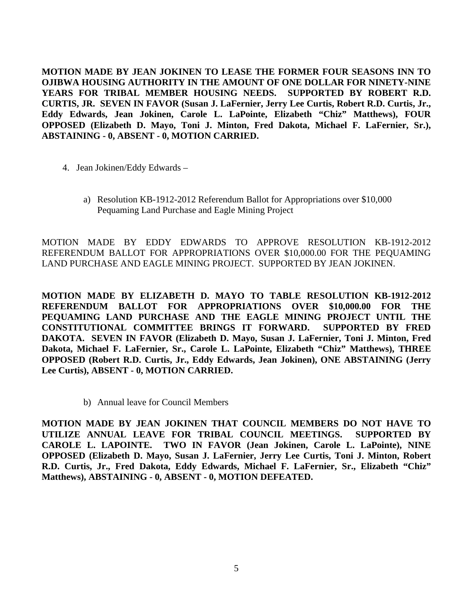**MOTION MADE BY JEAN JOKINEN TO LEASE THE FORMER FOUR SEASONS INN TO OJIBWA HOUSING AUTHORITY IN THE AMOUNT OF ONE DOLLAR FOR NINETY-NINE YEARS FOR TRIBAL MEMBER HOUSING NEEDS. SUPPORTED BY ROBERT R.D. CURTIS, JR. SEVEN IN FAVOR (Susan J. LaFernier, Jerry Lee Curtis, Robert R.D. Curtis, Jr., Eddy Edwards, Jean Jokinen, Carole L. LaPointe, Elizabeth "Chiz" Matthews), FOUR OPPOSED (Elizabeth D. Mayo, Toni J. Minton, Fred Dakota, Michael F. LaFernier, Sr.), ABSTAINING - 0, ABSENT - 0, MOTION CARRIED.**

- 4. Jean Jokinen/Eddy Edwards
	- a) Resolution KB-1912-2012 Referendum Ballot for Appropriations over \$10,000 Pequaming Land Purchase and Eagle Mining Project

MOTION MADE BY EDDY EDWARDS TO APPROVE RESOLUTION KB-1912-2012 REFERENDUM BALLOT FOR APPROPRIATIONS OVER \$10,000.00 FOR THE PEQUAMING LAND PURCHASE AND EAGLE MINING PROJECT. SUPPORTED BY JEAN JOKINEN.

**MOTION MADE BY ELIZABETH D. MAYO TO TABLE RESOLUTION KB-1912-2012 REFERENDUM BALLOT FOR APPROPRIATIONS OVER \$10,000.00 FOR THE PEQUAMING LAND PURCHASE AND THE EAGLE MINING PROJECT UNTIL THE CONSTITUTIONAL COMMITTEE BRINGS IT FORWARD. SUPPORTED BY FRED DAKOTA. SEVEN IN FAVOR (Elizabeth D. Mayo, Susan J. LaFernier, Toni J. Minton, Fred Dakota, Michael F. LaFernier, Sr., Carole L. LaPointe, Elizabeth "Chiz" Matthews), THREE OPPOSED (Robert R.D. Curtis, Jr., Eddy Edwards, Jean Jokinen), ONE ABSTAINING (Jerry Lee Curtis), ABSENT - 0, MOTION CARRIED.**

b) Annual leave for Council Members

**MOTION MADE BY JEAN JOKINEN THAT COUNCIL MEMBERS DO NOT HAVE TO UTILIZE ANNUAL LEAVE FOR TRIBAL COUNCIL MEETINGS. SUPPORTED BY CAROLE L. LAPOINTE. TWO IN FAVOR (Jean Jokinen, Carole L. LaPointe), NINE OPPOSED (Elizabeth D. Mayo, Susan J. LaFernier, Jerry Lee Curtis, Toni J. Minton, Robert R.D. Curtis, Jr., Fred Dakota, Eddy Edwards, Michael F. LaFernier, Sr., Elizabeth "Chiz" Matthews), ABSTAINING - 0, ABSENT - 0, MOTION DEFEATED.**